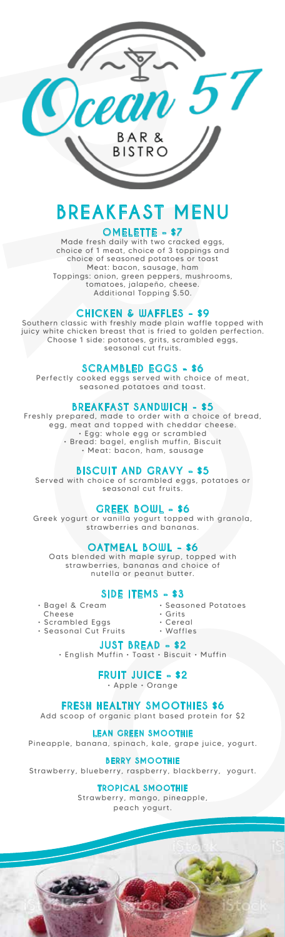

# **BREAKFAST MENU**

## **OMELETTE - \$7**

Made fresh daily with two cracked eggs, choice of 1 meat, choice of 3 toppings and choice of seasoned potatoes or toast Meat: bacon, sausage, ham Toppings: onion, green peppers, mushrooms, tomatoes, jalapeño, cheese. Additional Topping \$.50.

#### **CHICKEN & WAFFLES - \$9**

Southern classic with freshly made plain waffle topped with juicy white chicken breast that is fried to golden perfection. Choose 1 side: potatoes, grits, scrambled eggs, seasonal cut fruits.

#### **SCRAMBLED EGGS - \$6**

Perfectly cooked eggs served with choice of meat, seasoned potatoes and toast.

#### **BREAKFAST SANDWICH - \$5**

Freshly prepared, made to order with a choice of bread, egg, meat and topped with cheddar cheese. • Egg: whole egg or scrambled • Bread: bagel, english muffin, Biscuit • Meat: bacon, ham, sausage

#### **BISCUIT AND GRAVY - \$5**

Served with choice of scrambled eggs, potatoes or seasonal cut fruits.

#### **GREEK BOWL - \$6**

Greek yogurt or vanilla yogurt topped with granola, strawberries and bananas.

#### **OATMEAL BOWL - \$6**

Oats blended with maple syrup, topped with strawberries, bananas and choice of nutella or peanut butter.

#### **SIDE ITEMS - \$3**

- Bagel & Cream
	- Cheese
- Scrambled Eggs • Seasonal Cut Fruits
	-
- Seasoned Potatoes • Grits
- Cereal
- Waffles

**JUST BREAD - \$2** • English Muffin • Toast • Biscuit • Muffin

#### **FRUIT JUICE - \$2**

• Apple • Orange

#### **FRESH HEALTHY SMOOTHIES \$6**

Add scoop of organic plant based protein for \$2

#### **LEAN GREEN SMOOTHIE**

Pineapple, banana, spinach, kale, grape juice, yogurt.

**BERRY SMOOTHIE**

Strawberry, blueberry, raspberry, blackberry, yogurt.

#### **TROPICAL SMOOTHIE**

Strawberry, mango, pineapple, peach yogurt.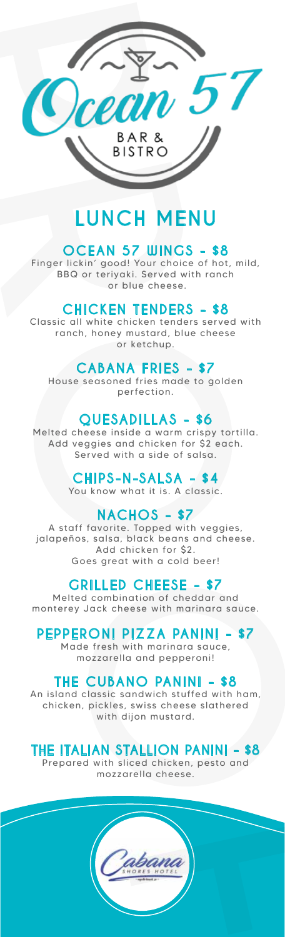

# **LUNCH MENU**

# **OCEAN 57 WINGS - \$8**<br>Finger lickin' good! Your choice of hot

Finger lickin' good! Your choice of hot, mild, BBQ or teriyaki. Served with ranch or blue cheese.

#### **CHICKEN TENDERS - \$8**

Classic all white chicken tenders served with ranch, honey mustard, blue cheese or ketchup.

## **CABANA FRIES - \$7**

House seasoned fries made to golden perfection.

### **QUESADILLAS - \$6**

Melted cheese inside a warm crispy tortilla. Add veggies and chicken for \$2 each. Served with a side of salsa.

#### **CHIPS-N-SALSA - \$4**

You know what it is. A classic.

## **NACHOS - \$7**

A staff favorite. Topped with veggies, jalapeños, salsa, black beans and cheese. Add chicken for \$2. Goes great with a cold beer!

#### **GRILLED CHEESE - \$7**

Melted combination of cheddar and monterey Jack cheese with marinara sauce.

## **PEPPERONI PIZZA PANINI - \$7**

Made fresh with marinara sauce, mozzarella and pepperoni!

## **THE CUBANO PANINI - \$8**

An island classic sandwich stuffed with ham, chicken, pickles, swiss cheese slathered with dijon mustard.

## **THE ITALIAN STALLION PANINI - \$8**

Prepared with sliced chicken, pesto and mozzarella cheese.